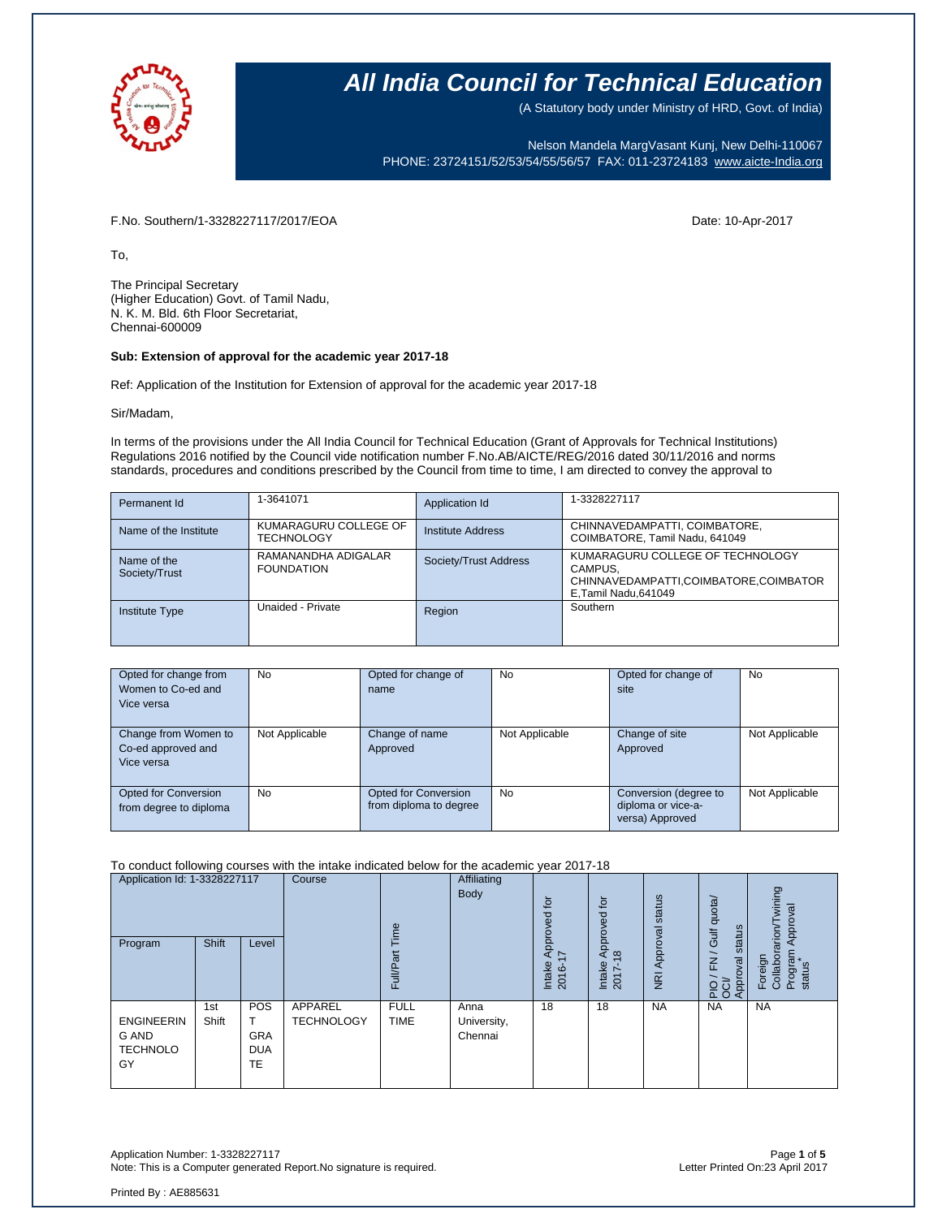

(A Statutory body under Ministry of HRD, Govt. of India)

Nelson Mandela MargVasant Kunj, New Delhi-110067 PHONE: 23724151/52/53/54/55/56/57 FAX: 011-23724183 [www.aicte-India.org](http://www.aicte-india.org/)

F.No. Southern/1-3328227117/2017/EOA Date: 10-Apr-2017

To,

The Principal Secretary (Higher Education) Govt. of Tamil Nadu, N. K. M. Bld. 6th Floor Secretariat, Chennai-600009

### **Sub: Extension of approval for the academic year 2017-18**

Ref: Application of the Institution for Extension of approval for the academic year 2017-18

Sir/Madam,

In terms of the provisions under the All India Council for Technical Education (Grant of Approvals for Technical Institutions) Regulations 2016 notified by the Council vide notification number F.No.AB/AICTE/REG/2016 dated 30/11/2016 and norms standards, procedures and conditions prescribed by the Council from time to time, I am directed to convey the approval to

| Permanent Id                 | 1-3641071                                  | Application Id        | 1-3328227117                                                                                                  |
|------------------------------|--------------------------------------------|-----------------------|---------------------------------------------------------------------------------------------------------------|
| Name of the Institute        | KUMARAGURU COLLEGE OF<br><b>TECHNOLOGY</b> | Institute Address     | CHINNAVEDAMPATTI, COIMBATORE,<br>COIMBATORE, Tamil Nadu, 641049                                               |
| Name of the<br>Society/Trust | RAMANANDHA ADIGALAR<br><b>FOUNDATION</b>   | Society/Trust Address | KUMARAGURU COLLEGE OF TECHNOLOGY<br>CAMPUS.<br>CHINNAVEDAMPATTI,COIMBATORE,COIMBATOR<br>E, Tamil Nadu, 641049 |
| <b>Institute Type</b>        | Unaided - Private                          | Region                | Southern                                                                                                      |

| Opted for change from<br>Women to Co-ed and<br>Vice versa | No             | Opted for change of<br>name                           | <b>No</b>      | Opted for change of<br>site                                    | <b>No</b>      |
|-----------------------------------------------------------|----------------|-------------------------------------------------------|----------------|----------------------------------------------------------------|----------------|
| Change from Women to<br>Co-ed approved and<br>Vice versa  | Not Applicable | Change of name<br>Approved                            | Not Applicable | Change of site<br>Approved                                     | Not Applicable |
| Opted for Conversion<br>from degree to diploma            | <b>No</b>      | <b>Opted for Conversion</b><br>from diploma to degree | <b>No</b>      | Conversion (degree to<br>diploma or vice-a-<br>versa) Approved | Not Applicable |

#### To conduct following courses with the intake indicated below for the academic year 2017-18

| Application Id: 1-3328227117<br>Program                    | <b>Shift</b> | Level                                        | Course                       | jme<br>ull/Par<br>ш        | Affiliating<br>Body            | tō<br>್ದಾ<br>Approve<br>∼<br>Intake<br>Ó<br>201 | tor<br>pevord<br>$\infty$<br>⋖<br>Intake<br>2017- | status<br>Approval<br>$\overline{g}$ | Gulf quota/<br>status<br>$\geq$<br>Approval<br><b>PO</b> | wining<br>Approval<br>rarion<br>Foreign<br>Collabor<br>Program<br>status |
|------------------------------------------------------------|--------------|----------------------------------------------|------------------------------|----------------------------|--------------------------------|-------------------------------------------------|---------------------------------------------------|--------------------------------------|----------------------------------------------------------|--------------------------------------------------------------------------|
| <b>ENGINEERIN</b><br><b>G AND</b><br><b>TECHNOLO</b><br>GY | 1st<br>Shift | <b>POS</b><br><b>GRA</b><br><b>DUA</b><br>TE | APPAREL<br><b>TECHNOLOGY</b> | <b>FULL</b><br><b>TIME</b> | Anna<br>University,<br>Chennai | 18                                              | 18                                                | <b>NA</b>                            | <b>NA</b>                                                | <b>NA</b>                                                                |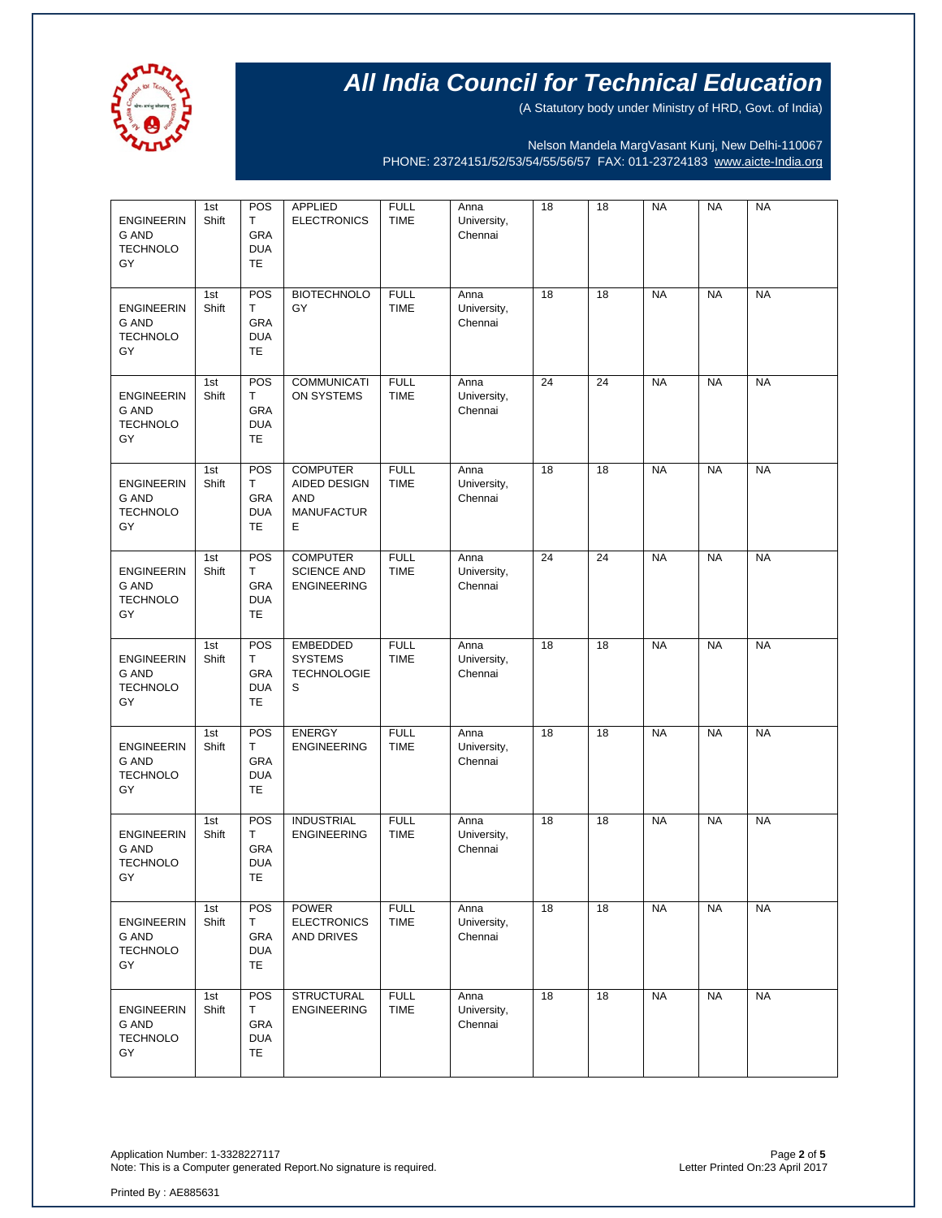

(A Statutory body under Ministry of HRD, Govt. of India)

Nelson Mandela MargVasant Kunj, New Delhi-110067 PHONE: 23724151/52/53/54/55/56/57 FAX: 011-23724183 [www.aicte-India.org](http://www.aicte-india.org/)

| <b>ENGINEERIN</b><br><b>G AND</b><br><b>TECHNOLO</b><br>GY | 1st<br>Shift | POS<br>T<br>GRA<br><b>DUA</b><br><b>TE</b> | APPLIED<br><b>ELECTRONICS</b>                                           | <b>FULL</b><br><b>TIME</b> | Anna<br>University,<br>Chennai | 18 | 18 | <b>NA</b> | <b>NA</b> | <b>NA</b> |
|------------------------------------------------------------|--------------|--------------------------------------------|-------------------------------------------------------------------------|----------------------------|--------------------------------|----|----|-----------|-----------|-----------|
| <b>ENGINEERIN</b><br><b>G AND</b><br><b>TECHNOLO</b><br>GY | 1st<br>Shift | POS<br>т<br>GRA<br><b>DUA</b><br>TE        | <b>BIOTECHNOLO</b><br>GY                                                | <b>FULL</b><br><b>TIME</b> | Anna<br>University,<br>Chennai | 18 | 18 | <b>NA</b> | <b>NA</b> | <b>NA</b> |
| <b>ENGINEERIN</b><br><b>G AND</b><br><b>TECHNOLO</b><br>GY | 1st<br>Shift | POS<br>T<br>GRA<br><b>DUA</b><br><b>TE</b> | <b>COMMUNICATI</b><br>ON SYSTEMS                                        | <b>FULL</b><br><b>TIME</b> | Anna<br>University,<br>Chennai | 24 | 24 | <b>NA</b> | <b>NA</b> | <b>NA</b> |
| <b>ENGINEERIN</b><br><b>G AND</b><br><b>TECHNOLO</b><br>GY | 1st<br>Shift | POS<br>т<br>GRA<br><b>DUA</b><br>TE        | <b>COMPUTER</b><br>AIDED DESIGN<br><b>AND</b><br><b>MANUFACTUR</b><br>Е | <b>FULL</b><br><b>TIME</b> | Anna<br>University,<br>Chennai | 18 | 18 | <b>NA</b> | <b>NA</b> | <b>NA</b> |
| <b>ENGINEERIN</b><br><b>G AND</b><br><b>TECHNOLO</b><br>GY | 1st<br>Shift | POS<br>T<br>GRA<br><b>DUA</b><br><b>TE</b> | <b>COMPUTER</b><br><b>SCIENCE AND</b><br><b>ENGINEERING</b>             | <b>FULL</b><br><b>TIME</b> | Anna<br>University,<br>Chennai | 24 | 24 | <b>NA</b> | <b>NA</b> | <b>NA</b> |
| <b>ENGINEERIN</b><br>G AND<br><b>TECHNOLO</b><br>GY        | 1st<br>Shift | POS<br>т<br><b>GRA</b><br><b>DUA</b><br>TE | <b>EMBEDDED</b><br><b>SYSTEMS</b><br><b>TECHNOLOGIE</b><br>S            | <b>FULL</b><br><b>TIME</b> | Anna<br>University,<br>Chennai | 18 | 18 | <b>NA</b> | <b>NA</b> | <b>NA</b> |
| <b>ENGINEERIN</b><br><b>G AND</b><br><b>TECHNOLO</b><br>GY | 1st<br>Shift | POS<br>Т<br>GRA<br><b>DUA</b><br>TE        | <b>ENERGY</b><br><b>ENGINEERING</b>                                     | <b>FULL</b><br><b>TIME</b> | Anna<br>University,<br>Chennai | 18 | 18 | <b>NA</b> | <b>NA</b> | <b>NA</b> |
| <b>ENGINEERIN</b><br><b>G AND</b><br><b>TECHNOLO</b><br>GY | 1st<br>Shift | POS<br>т<br>GRA<br><b>DUA</b><br>TE        | <b>INDUSTRIAL</b><br><b>ENGINEERING</b>                                 | <b>FULL</b><br><b>TIME</b> | Anna<br>University,<br>Chennai | 18 | 18 | <b>NA</b> | <b>NA</b> | <b>NA</b> |
| <b>ENGINEERIN</b><br><b>G AND</b><br><b>TECHNOLO</b><br>GY | 1st<br>Shift | POS<br>T<br>GRA<br><b>DUA</b><br>TE.       | <b>POWER</b><br><b>ELECTRONICS</b><br>AND DRIVES                        | <b>FULL</b><br><b>TIME</b> | Anna<br>University,<br>Chennai | 18 | 18 | <b>NA</b> | <b>NA</b> | <b>NA</b> |
| <b>ENGINEERIN</b><br><b>G AND</b><br><b>TECHNOLO</b><br>GY | 1st<br>Shift | POS<br>т<br>GRA<br><b>DUA</b><br>TE.       | <b>STRUCTURAL</b><br><b>ENGINEERING</b>                                 | <b>FULL</b><br><b>TIME</b> | Anna<br>University,<br>Chennai | 18 | 18 | <b>NA</b> | <b>NA</b> | <b>NA</b> |

Application Number: 1-3328227117 Page **2** of **5** Note: This is a Computer generated Report.No signature is required.

Printed By : AE885631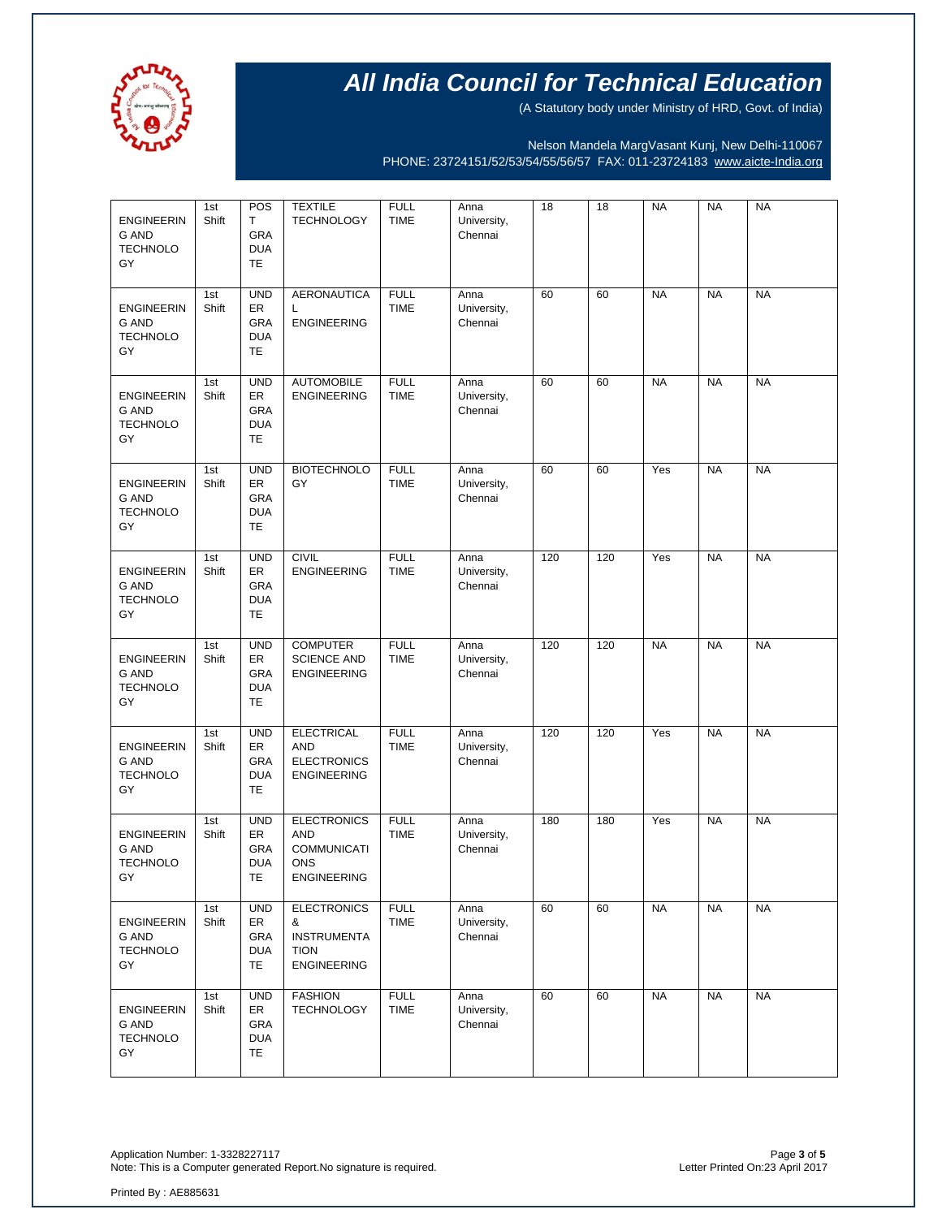

(A Statutory body under Ministry of HRD, Govt. of India)

Nelson Mandela MargVasant Kunj, New Delhi-110067 PHONE: 23724151/52/53/54/55/56/57 FAX: 011-23724183 [www.aicte-India.org](http://www.aicte-india.org/)

| <b>ENGINEERIN</b><br><b>G AND</b><br><b>TECHNOLO</b><br>GY | 1st<br>Shift | POS<br>Т<br>GRA<br><b>DUA</b><br><b>TE</b>          | <b>TEXTILE</b><br><b>TECHNOLOGY</b>                                                        | <b>FULL</b><br><b>TIME</b> | Anna<br>University,<br>Chennai | 18  | 18  | <b>NA</b> | <b>NA</b> | <b>NA</b> |
|------------------------------------------------------------|--------------|-----------------------------------------------------|--------------------------------------------------------------------------------------------|----------------------------|--------------------------------|-----|-----|-----------|-----------|-----------|
| <b>ENGINEERIN</b><br><b>G AND</b><br><b>TECHNOLO</b><br>GY | 1st<br>Shift | <b>UND</b><br>ER<br>GRA<br><b>DUA</b><br><b>TE</b>  | <b>AERONAUTICA</b><br>L<br><b>ENGINEERING</b>                                              | <b>FULL</b><br><b>TIME</b> | Anna<br>University,<br>Chennai | 60  | 60  | <b>NA</b> | <b>NA</b> | <b>NA</b> |
| <b>ENGINEERIN</b><br><b>G AND</b><br><b>TECHNOLO</b><br>GY | 1st<br>Shift | <b>UND</b><br>ER<br>GRA<br><b>DUA</b><br><b>TE</b>  | <b>AUTOMOBILE</b><br><b>ENGINEERING</b>                                                    | <b>FULL</b><br><b>TIME</b> | Anna<br>University,<br>Chennai | 60  | 60  | <b>NA</b> | <b>NA</b> | <b>NA</b> |
| <b>ENGINEERIN</b><br><b>G AND</b><br><b>TECHNOLO</b><br>GY | 1st<br>Shift | <b>UND</b><br>ER<br>GRA<br><b>DUA</b><br><b>TE</b>  | <b>BIOTECHNOLO</b><br>GY                                                                   | <b>FULL</b><br><b>TIME</b> | Anna<br>University,<br>Chennai | 60  | 60  | Yes       | <b>NA</b> | <b>NA</b> |
| <b>ENGINEERIN</b><br><b>G AND</b><br><b>TECHNOLO</b><br>GY | 1st<br>Shift | <b>UND</b><br>ER<br>GRA<br><b>DUA</b><br><b>TE</b>  | <b>CIVIL</b><br><b>ENGINEERING</b>                                                         | <b>FULL</b><br><b>TIME</b> | Anna<br>University,<br>Chennai | 120 | 120 | Yes       | <b>NA</b> | <b>NA</b> |
| <b>ENGINEERIN</b><br>G AND<br><b>TECHNOLO</b><br>GY        | 1st<br>Shift | <b>UND</b><br>ER<br><b>GRA</b><br><b>DUA</b><br>TE. | <b>COMPUTER</b><br><b>SCIENCE AND</b><br><b>ENGINEERING</b>                                | <b>FULL</b><br><b>TIME</b> | Anna<br>University,<br>Chennai | 120 | 120 | <b>NA</b> | <b>NA</b> | <b>NA</b> |
| <b>ENGINEERIN</b><br><b>G AND</b><br><b>TECHNOLO</b><br>GY | 1st<br>Shift | <b>UND</b><br>ER<br>GRA<br><b>DUA</b><br><b>TE</b>  | <b>ELECTRICAL</b><br><b>AND</b><br><b>ELECTRONICS</b><br><b>ENGINEERING</b>                | <b>FULL</b><br><b>TIME</b> | Anna<br>University,<br>Chennai | 120 | 120 | Yes       | <b>NA</b> | <b>NA</b> |
| <b>ENGINEERIN</b><br><b>G AND</b><br><b>TECHNOLO</b><br>GY | 1st<br>Shift | <b>UND</b><br>ER<br>GRA<br><b>DUA</b><br>TE         | <b>ELECTRONICS</b><br><b>AND</b><br><b>COMMUNICATI</b><br><b>ONS</b><br><b>ENGINEERING</b> | <b>FULL</b><br><b>TIME</b> | Anna<br>University,<br>Chennai | 180 | 180 | Yes       | <b>NA</b> | <b>NA</b> |
| <b>ENGINEERIN</b><br><b>G AND</b><br><b>TECHNOLO</b><br>GY | 1st<br>Shift | <b>UND</b><br>ER<br>GRA<br><b>DUA</b><br>TE.        | <b>ELECTRONICS</b><br>&<br><b>INSTRUMENTA</b><br><b>TION</b><br><b>ENGINEERING</b>         | <b>FULL</b><br><b>TIME</b> | Anna<br>University,<br>Chennai | 60  | 60  | <b>NA</b> | <b>NA</b> | <b>NA</b> |
| <b>ENGINEERIN</b><br><b>G AND</b><br><b>TECHNOLO</b><br>GY | 1st<br>Shift | <b>UND</b><br>ER<br>GRA<br><b>DUA</b><br>TE.        | <b>FASHION</b><br><b>TECHNOLOGY</b>                                                        | <b>FULL</b><br><b>TIME</b> | Anna<br>University,<br>Chennai | 60  | 60  | <b>NA</b> | <b>NA</b> | <b>NA</b> |

Application Number: 1-3328227117<br>Note: This is a Computer generated Report.No signature is required.<br>Phote: This is a Computer generated Report.No signature is required. Note: This is a Computer generated Report.No signature is required.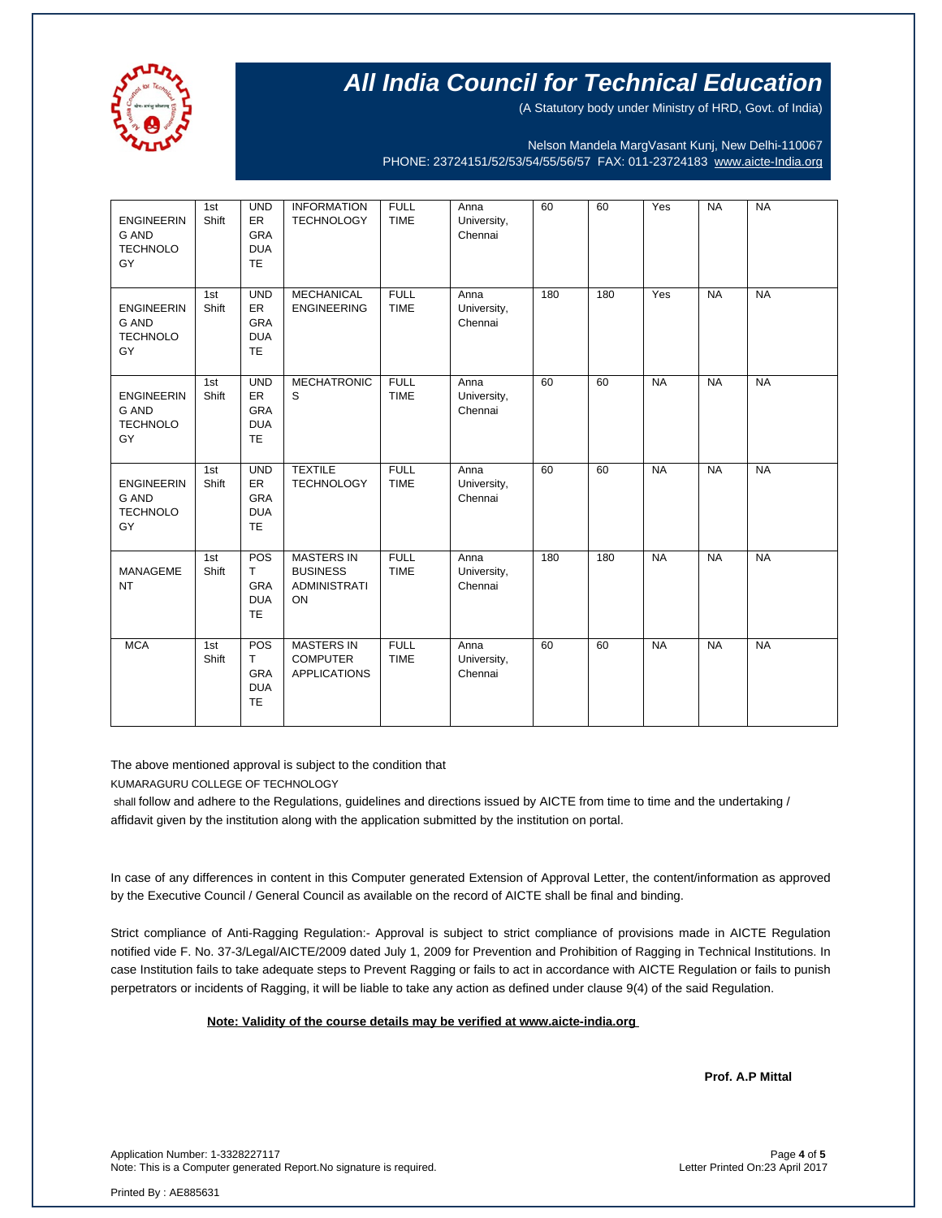

(A Statutory body under Ministry of HRD, Govt. of India)

Nelson Mandela MargVasant Kunj, New Delhi-110067 PHONE: 23724151/52/53/54/55/56/57 FAX: 011-23724183 [www.aicte-India.org](http://www.aicte-india.org/)

| <b>ENGINEERIN</b><br><b>G AND</b><br><b>TECHNOLO</b><br>GY | 1st<br>Shift | <b>UND</b><br>ER<br><b>GRA</b><br><b>DUA</b><br><b>TE</b> | <b>INFORMATION</b><br><b>TECHNOLOGY</b>                           | <b>FULL</b><br><b>TIME</b> | Anna<br>University,<br>Chennai | 60  | 60  | Yes       | <b>NA</b> | <b>NA</b> |
|------------------------------------------------------------|--------------|-----------------------------------------------------------|-------------------------------------------------------------------|----------------------------|--------------------------------|-----|-----|-----------|-----------|-----------|
| <b>ENGINEERIN</b><br><b>G AND</b><br><b>TECHNOLO</b><br>GY | 1st<br>Shift | <b>UND</b><br>ER<br><b>GRA</b><br><b>DUA</b><br><b>TE</b> | <b>MECHANICAL</b><br><b>ENGINEERING</b>                           | <b>FULL</b><br><b>TIME</b> | Anna<br>University,<br>Chennai | 180 | 180 | Yes       | <b>NA</b> | <b>NA</b> |
| <b>ENGINEERIN</b><br><b>G AND</b><br><b>TECHNOLO</b><br>GY | 1st<br>Shift | <b>UND</b><br>ER<br>GRA<br><b>DUA</b><br><b>TE</b>        | <b>MECHATRONIC</b><br>S                                           | <b>FULL</b><br><b>TIME</b> | Anna<br>University,<br>Chennai | 60  | 60  | <b>NA</b> | <b>NA</b> | <b>NA</b> |
| <b>ENGINEERIN</b><br><b>G AND</b><br><b>TECHNOLO</b><br>GY | 1st<br>Shift | <b>UND</b><br>ER<br><b>GRA</b><br><b>DUA</b><br><b>TE</b> | <b>TEXTILE</b><br><b>TECHNOLOGY</b>                               | <b>FULL</b><br><b>TIME</b> | Anna<br>University,<br>Chennai | 60  | 60  | <b>NA</b> | <b>NA</b> | <b>NA</b> |
| <b>MANAGEME</b><br><b>NT</b>                               | 1st<br>Shift | POS<br>T<br>GRA<br><b>DUA</b><br><b>TE</b>                | <b>MASTERS IN</b><br><b>BUSINESS</b><br><b>ADMINISTRATI</b><br>ON | <b>FULL</b><br><b>TIME</b> | Anna<br>University,<br>Chennai | 180 | 180 | <b>NA</b> | <b>NA</b> | <b>NA</b> |
| <b>MCA</b>                                                 | 1st<br>Shift | POS<br>T<br><b>GRA</b><br><b>DUA</b><br><b>TE</b>         | <b>MASTERS IN</b><br><b>COMPUTER</b><br><b>APPLICATIONS</b>       | <b>FULL</b><br><b>TIME</b> | Anna<br>University,<br>Chennai | 60  | 60  | <b>NA</b> | <b>NA</b> | <b>NA</b> |

The above mentioned approval is subject to the condition that

KUMARAGURU COLLEGE OF TECHNOLOGY

shall follow and adhere to the Regulations, guidelines and directions issued by AICTE from time to time and the undertaking / affidavit given by the institution along with the application submitted by the institution on portal.

In case of any differences in content in this Computer generated Extension of Approval Letter, the content/information as approved by the Executive Council / General Council as available on the record of AICTE shall be final and binding.

Strict compliance of Anti-Ragging Regulation:- Approval is subject to strict compliance of provisions made in AICTE Regulation notified vide F. No. 37-3/Legal/AICTE/2009 dated July 1, 2009 for Prevention and Prohibition of Ragging in Technical Institutions. In case Institution fails to take adequate steps to Prevent Ragging or fails to act in accordance with AICTE Regulation or fails to punish perpetrators or incidents of Ragging, it will be liable to take any action as defined under clause 9(4) of the said Regulation.

 **Note: Validity of the course details may be verified at www.aicte-india.org** 

**Prof. A.P Mittal** 

Application Number: 1-3328227117 Page **4** of **5** Note: This is a Computer generated Report.No signature is required.